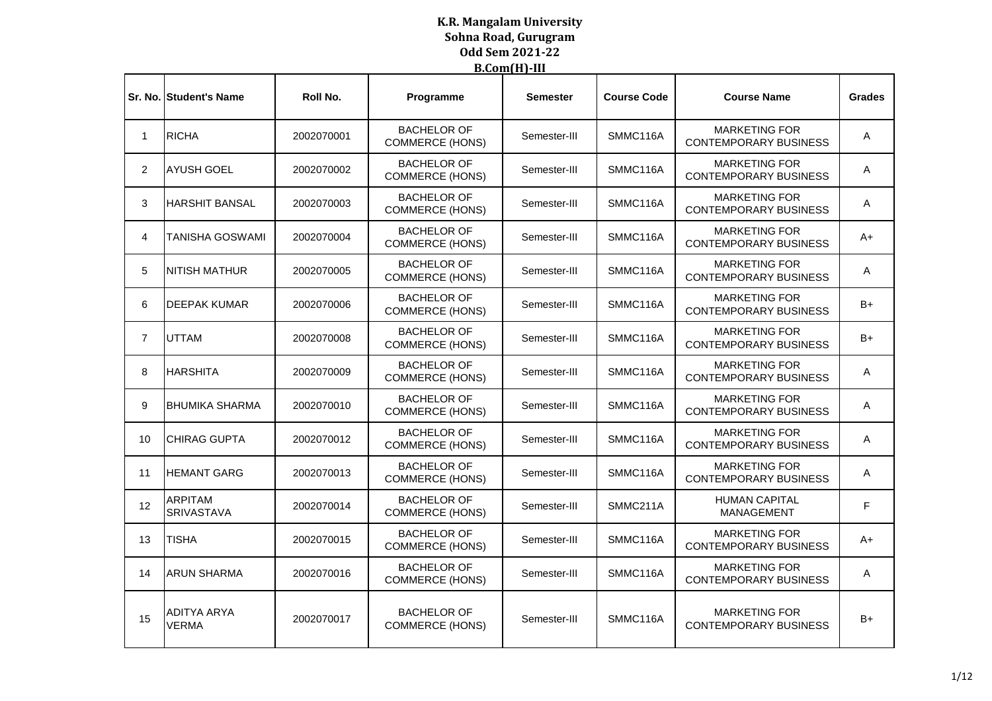|                | Sr. No. Student's Name              | Roll No.   | Programme                                    | <b>Semester</b> | <b>Course Code</b> | <b>Course Name</b>                                   | <b>Grades</b> |
|----------------|-------------------------------------|------------|----------------------------------------------|-----------------|--------------------|------------------------------------------------------|---------------|
| $\mathbf{1}$   | <b>RICHA</b>                        | 2002070001 | <b>BACHELOR OF</b><br><b>COMMERCE (HONS)</b> | Semester-III    | SMMC116A           | <b>MARKETING FOR</b><br><b>CONTEMPORARY BUSINESS</b> | Α             |
| 2              | <b>AYUSH GOEL</b>                   | 2002070002 | <b>BACHELOR OF</b><br><b>COMMERCE (HONS)</b> | Semester-III    | SMMC116A           | <b>MARKETING FOR</b><br><b>CONTEMPORARY BUSINESS</b> | A             |
| 3              | <b>HARSHIT BANSAL</b>               | 2002070003 | <b>BACHELOR OF</b><br><b>COMMERCE (HONS)</b> | Semester-III    | SMMC116A           | <b>MARKETING FOR</b><br><b>CONTEMPORARY BUSINESS</b> | Α             |
| 4              | <b>TANISHA GOSWAMI</b>              | 2002070004 | <b>BACHELOR OF</b><br><b>COMMERCE (HONS)</b> | Semester-III    | SMMC116A           | <b>MARKETING FOR</b><br><b>CONTEMPORARY BUSINESS</b> | A+            |
| 5              | <b>INITISH MATHUR</b>               | 2002070005 | <b>BACHELOR OF</b><br><b>COMMERCE (HONS)</b> | Semester-III    | SMMC116A           | <b>MARKETING FOR</b><br><b>CONTEMPORARY BUSINESS</b> | A             |
| 6              | <b>DEEPAK KUMAR</b>                 | 2002070006 | <b>BACHELOR OF</b><br><b>COMMERCE (HONS)</b> | Semester-III    | SMMC116A           | <b>MARKETING FOR</b><br><b>CONTEMPORARY BUSINESS</b> | B+            |
| $\overline{7}$ | <b>UTTAM</b>                        | 2002070008 | <b>BACHELOR OF</b><br>COMMERCE (HONS)        | Semester-III    | SMMC116A           | <b>MARKETING FOR</b><br><b>CONTEMPORARY BUSINESS</b> | B+            |
| 8              | <b>HARSHITA</b>                     | 2002070009 | <b>BACHELOR OF</b><br><b>COMMERCE (HONS)</b> | Semester-III    | SMMC116A           | <b>MARKETING FOR</b><br><b>CONTEMPORARY BUSINESS</b> | A             |
| 9              | <b>IBHUMIKA SHARMA</b>              | 2002070010 | <b>BACHELOR OF</b><br><b>COMMERCE (HONS)</b> | Semester-III    | SMMC116A           | <b>MARKETING FOR</b><br><b>CONTEMPORARY BUSINESS</b> | A             |
| 10             | <b>ICHIRAG GUPTA</b>                | 2002070012 | <b>BACHELOR OF</b><br><b>COMMERCE (HONS)</b> | Semester-III    | SMMC116A           | <b>MARKETING FOR</b><br><b>CONTEMPORARY BUSINESS</b> | Α             |
| 11             | <b>HEMANT GARG</b>                  | 2002070013 | <b>BACHELOR OF</b><br><b>COMMERCE (HONS)</b> | Semester-III    | SMMC116A           | <b>MARKETING FOR</b><br><b>CONTEMPORARY BUSINESS</b> | A             |
| 12             | <b>ARPITAM</b><br><b>SRIVASTAVA</b> | 2002070014 | <b>BACHELOR OF</b><br><b>COMMERCE (HONS)</b> | Semester-III    | SMMC211A           | <b>HUMAN CAPITAL</b><br><b>MANAGEMENT</b>            | F             |
| 13             | <b>TISHA</b>                        | 2002070015 | <b>BACHELOR OF</b><br><b>COMMERCE (HONS)</b> | Semester-III    | SMMC116A           | <b>MARKETING FOR</b><br><b>CONTEMPORARY BUSINESS</b> | A+            |
| 14             | <b>ARUN SHARMA</b>                  | 2002070016 | <b>BACHELOR OF</b><br><b>COMMERCE (HONS)</b> | Semester-III    | SMMC116A           | <b>MARKETING FOR</b><br><b>CONTEMPORARY BUSINESS</b> | Α             |
| 15             | ADITYA ARYA<br><b>VERMA</b>         | 2002070017 | <b>BACHELOR OF</b><br><b>COMMERCE (HONS)</b> | Semester-III    | SMMC116A           | <b>MARKETING FOR</b><br><b>CONTEMPORARY BUSINESS</b> | $B+$          |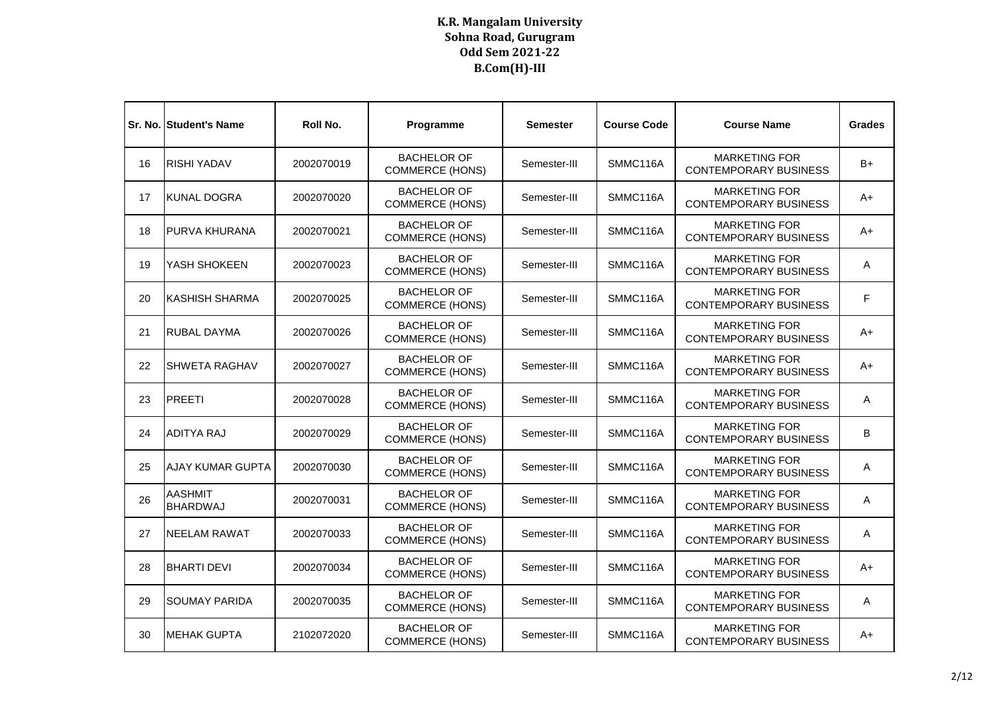|    | <b>Sr. No. Student's Name</b>     | Roll No.   | Programme                                    | Semester     | <b>Course Code</b> | <b>Course Name</b>                                   | <b>Grades</b> |
|----|-----------------------------------|------------|----------------------------------------------|--------------|--------------------|------------------------------------------------------|---------------|
| 16 | <b>RISHI YADAV</b>                | 2002070019 | <b>BACHELOR OF</b><br><b>COMMERCE (HONS)</b> | Semester-III | SMMC116A           | <b>MARKETING FOR</b><br><b>CONTEMPORARY BUSINESS</b> | $B+$          |
| 17 | <b>KUNAL DOGRA</b>                | 2002070020 | <b>BACHELOR OF</b><br><b>COMMERCE (HONS)</b> | Semester-III | SMMC116A           | <b>MARKETING FOR</b><br><b>CONTEMPORARY BUSINESS</b> | A+            |
| 18 | <b>PURVA KHURANA</b>              | 2002070021 | <b>BACHELOR OF</b><br><b>COMMERCE (HONS)</b> | Semester-III | SMMC116A           | <b>MARKETING FOR</b><br><b>CONTEMPORARY BUSINESS</b> | A+            |
| 19 | YASH SHOKEEN                      | 2002070023 | <b>BACHELOR OF</b><br><b>COMMERCE (HONS)</b> | Semester-III | SMMC116A           | <b>MARKETING FOR</b><br><b>CONTEMPORARY BUSINESS</b> | Α             |
| 20 | <b>KASHISH SHARMA</b>             | 2002070025 | <b>BACHELOR OF</b><br><b>COMMERCE (HONS)</b> | Semester-III | SMMC116A           | <b>MARKETING FOR</b><br><b>CONTEMPORARY BUSINESS</b> | F             |
| 21 | <b>RUBAL DAYMA</b>                | 2002070026 | <b>BACHELOR OF</b><br><b>COMMERCE (HONS)</b> | Semester-III | SMMC116A           | <b>MARKETING FOR</b><br><b>CONTEMPORARY BUSINESS</b> | A+            |
| 22 | <b>SHWETA RAGHAV</b>              | 2002070027 | <b>BACHELOR OF</b><br><b>COMMERCE (HONS)</b> | Semester-III | SMMC116A           | <b>MARKETING FOR</b><br><b>CONTEMPORARY BUSINESS</b> | A+            |
| 23 | PREETI                            | 2002070028 | <b>BACHELOR OF</b><br><b>COMMERCE (HONS)</b> | Semester-III | SMMC116A           | <b>MARKETING FOR</b><br><b>CONTEMPORARY BUSINESS</b> | Α             |
| 24 | <b>ADITYA RAJ</b>                 | 2002070029 | <b>BACHELOR OF</b><br><b>COMMERCE (HONS)</b> | Semester-III | SMMC116A           | <b>MARKETING FOR</b><br><b>CONTEMPORARY BUSINESS</b> | B             |
| 25 | <b>AJAY KUMAR GUPTA</b>           | 2002070030 | <b>BACHELOR OF</b><br><b>COMMERCE (HONS)</b> | Semester-III | SMMC116A           | <b>MARKETING FOR</b><br><b>CONTEMPORARY BUSINESS</b> | Α             |
| 26 | <b>AASHMIT</b><br><b>BHARDWAJ</b> | 2002070031 | <b>BACHELOR OF</b><br><b>COMMERCE (HONS)</b> | Semester-III | SMMC116A           | <b>MARKETING FOR</b><br><b>CONTEMPORARY BUSINESS</b> | A             |
| 27 | NEELAM RAWAT                      | 2002070033 | <b>BACHELOR OF</b><br><b>COMMERCE (HONS)</b> | Semester-III | SMMC116A           | <b>MARKETING FOR</b><br><b>CONTEMPORARY BUSINESS</b> | A             |
| 28 | <b>BHARTI DEVI</b>                | 2002070034 | <b>BACHELOR OF</b><br><b>COMMERCE (HONS)</b> | Semester-III | SMMC116A           | <b>MARKETING FOR</b><br><b>CONTEMPORARY BUSINESS</b> | A+            |
| 29 | <b>SOUMAY PARIDA</b>              | 2002070035 | <b>BACHELOR OF</b><br><b>COMMERCE (HONS)</b> | Semester-III | SMMC116A           | <b>MARKETING FOR</b><br><b>CONTEMPORARY BUSINESS</b> | A             |
| 30 | <b>MEHAK GUPTA</b>                | 2102072020 | <b>BACHELOR OF</b><br><b>COMMERCE (HONS)</b> | Semester-III | SMMC116A           | <b>MARKETING FOR</b><br><b>CONTEMPORARY BUSINESS</b> | A+            |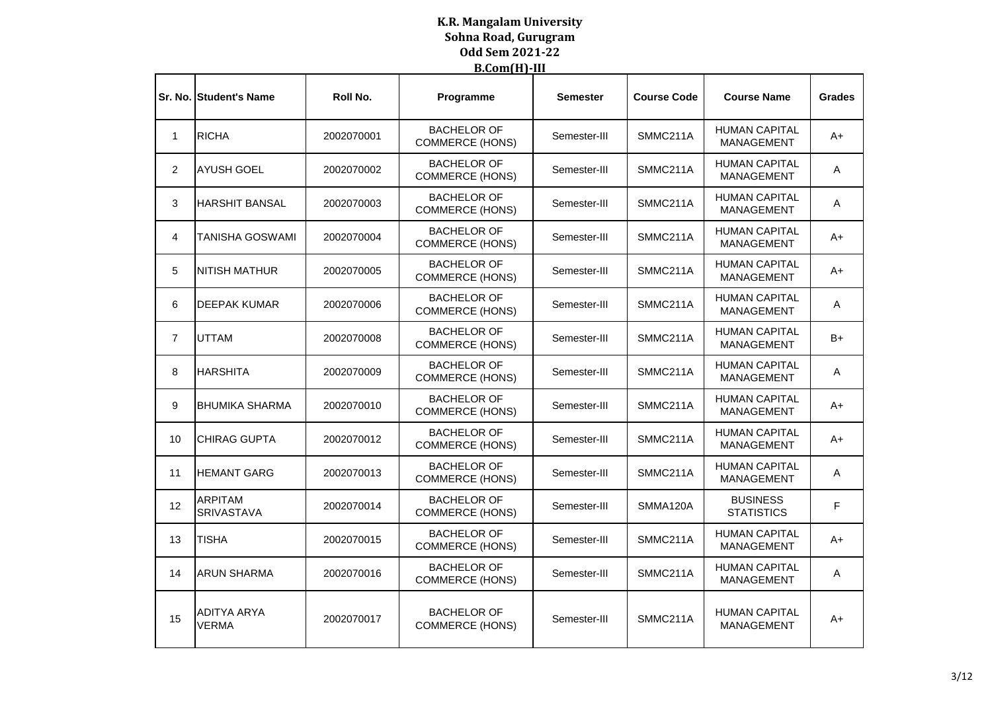|                | <b>Sr. No. Student's Name</b>       | Roll No.   | Programme                                    | <b>Semester</b> | <b>Course Code</b> | <b>Course Name</b>                        | <b>Grades</b> |
|----------------|-------------------------------------|------------|----------------------------------------------|-----------------|--------------------|-------------------------------------------|---------------|
| $\mathbf{1}$   | <b>RICHA</b>                        | 2002070001 | <b>BACHELOR OF</b><br><b>COMMERCE (HONS)</b> | Semester-III    | SMMC211A           | <b>HUMAN CAPITAL</b><br><b>MANAGEMENT</b> | A+            |
| 2              | <b>AYUSH GOEL</b>                   | 2002070002 | <b>BACHELOR OF</b><br><b>COMMERCE (HONS)</b> | Semester-III    | SMMC211A           | <b>HUMAN CAPITAL</b><br><b>MANAGEMENT</b> | A             |
| 3              | <b>HARSHIT BANSAL</b>               | 2002070003 | <b>BACHELOR OF</b><br><b>COMMERCE (HONS)</b> | Semester-III    | SMMC211A           | <b>HUMAN CAPITAL</b><br><b>MANAGEMENT</b> | A             |
| 4              | <b>TANISHA GOSWAMI</b>              | 2002070004 | <b>BACHELOR OF</b><br><b>COMMERCE (HONS)</b> | Semester-III    | SMMC211A           | <b>HUMAN CAPITAL</b><br><b>MANAGEMENT</b> | A+            |
| 5              | NITISH MATHUR                       | 2002070005 | <b>BACHELOR OF</b><br><b>COMMERCE (HONS)</b> | Semester-III    | SMMC211A           | <b>HUMAN CAPITAL</b><br><b>MANAGEMENT</b> | A+            |
| 6              | <b>DEEPAK KUMAR</b>                 | 2002070006 | <b>BACHELOR OF</b><br><b>COMMERCE (HONS)</b> | Semester-III    | SMMC211A           | <b>HUMAN CAPITAL</b><br><b>MANAGEMENT</b> | A             |
| $\overline{7}$ | <b>UTTAM</b>                        | 2002070008 | <b>BACHELOR OF</b><br><b>COMMERCE (HONS)</b> | Semester-III    | SMMC211A           | <b>HUMAN CAPITAL</b><br><b>MANAGEMENT</b> | B+            |
| 8              | <b>HARSHITA</b>                     | 2002070009 | <b>BACHELOR OF</b><br><b>COMMERCE (HONS)</b> | Semester-III    | SMMC211A           | <b>HUMAN CAPITAL</b><br><b>MANAGEMENT</b> | A             |
| 9              | <b>BHUMIKA SHARMA</b>               | 2002070010 | <b>BACHELOR OF</b><br><b>COMMERCE (HONS)</b> | Semester-III    | SMMC211A           | <b>HUMAN CAPITAL</b><br><b>MANAGEMENT</b> | A+            |
| 10             | <b>CHIRAG GUPTA</b>                 | 2002070012 | <b>BACHELOR OF</b><br>COMMERCE (HONS)        | Semester-III    | SMMC211A           | <b>HUMAN CAPITAL</b><br><b>MANAGEMENT</b> | A+            |
| 11             | <b>HEMANT GARG</b>                  | 2002070013 | <b>BACHELOR OF</b><br><b>COMMERCE (HONS)</b> | Semester-III    | SMMC211A           | <b>HUMAN CAPITAL</b><br><b>MANAGEMENT</b> | A             |
| 12             | <b>ARPITAM</b><br><b>SRIVASTAVA</b> | 2002070014 | <b>BACHELOR OF</b><br><b>COMMERCE (HONS)</b> | Semester-III    | SMMA120A           | <b>BUSINESS</b><br><b>STATISTICS</b>      | F             |
| 13             | <b>TISHA</b>                        | 2002070015 | <b>BACHELOR OF</b><br><b>COMMERCE (HONS)</b> | Semester-III    | SMMC211A           | <b>HUMAN CAPITAL</b><br><b>MANAGEMENT</b> | A+            |
| 14             | <b>ARUN SHARMA</b>                  | 2002070016 | <b>BACHELOR OF</b><br><b>COMMERCE (HONS)</b> | Semester-III    | SMMC211A           | <b>HUMAN CAPITAL</b><br><b>MANAGEMENT</b> | Α             |
| 15             | <b>ADITYA ARYA</b><br>VERMA         | 2002070017 | <b>BACHELOR OF</b><br><b>COMMERCE (HONS)</b> | Semester-III    | SMMC211A           | <b>HUMAN CAPITAL</b><br><b>MANAGEMENT</b> | A+            |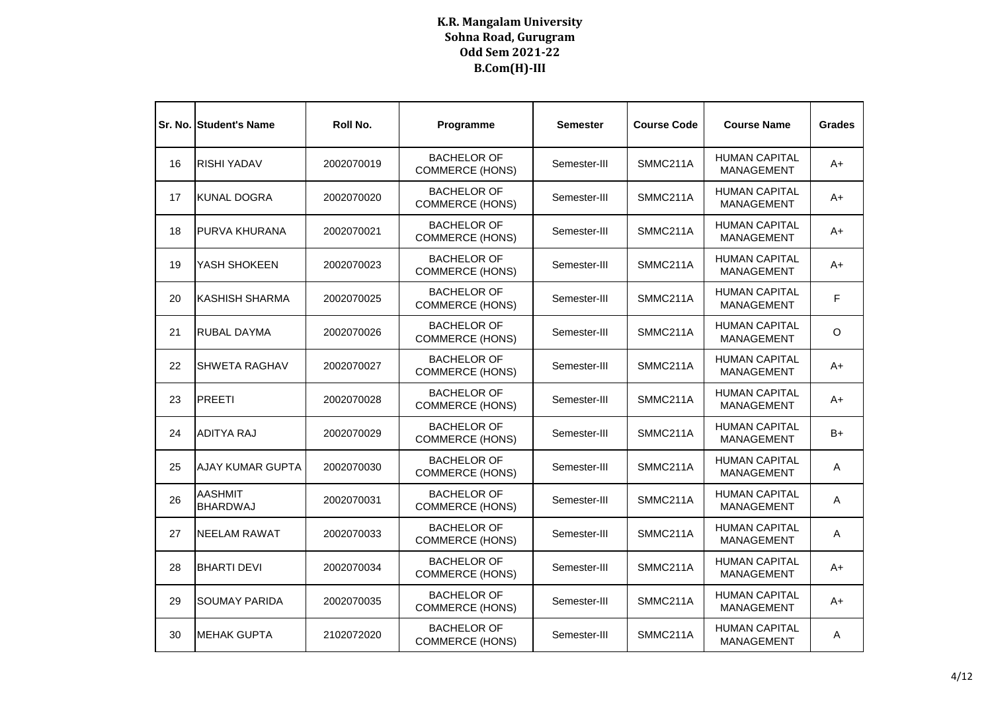|    | <b>Sr. No. Student's Name</b>     | Roll No.   | Programme                                    | <b>Semester</b> | <b>Course Code</b> | <b>Course Name</b>                        | <b>Grades</b> |
|----|-----------------------------------|------------|----------------------------------------------|-----------------|--------------------|-------------------------------------------|---------------|
| 16 | <b>RISHI YADAV</b>                | 2002070019 | <b>BACHELOR OF</b><br><b>COMMERCE (HONS)</b> | Semester-III    | SMMC211A           | <b>HUMAN CAPITAL</b><br>MANAGEMENT        | A+            |
| 17 | KUNAL DOGRA                       | 2002070020 | <b>BACHELOR OF</b><br><b>COMMERCE (HONS)</b> | Semester-III    | SMMC211A           | <b>HUMAN CAPITAL</b><br><b>MANAGEMENT</b> | A+            |
| 18 | <b>PURVA KHURANA</b>              | 2002070021 | <b>BACHELOR OF</b><br><b>COMMERCE (HONS)</b> | Semester-III    | SMMC211A           | <b>HUMAN CAPITAL</b><br><b>MANAGEMENT</b> | A+            |
| 19 | YASH SHOKEEN                      | 2002070023 | <b>BACHELOR OF</b><br><b>COMMERCE (HONS)</b> | Semester-III    | SMMC211A           | <b>HUMAN CAPITAL</b><br><b>MANAGEMENT</b> | A+            |
| 20 | IKASHISH SHARMA                   | 2002070025 | <b>BACHELOR OF</b><br><b>COMMERCE (HONS)</b> | Semester-III    | SMMC211A           | <b>HUMAN CAPITAL</b><br>MANAGEMENT        | F             |
| 21 | <b>RUBAL DAYMA</b>                | 2002070026 | <b>BACHELOR OF</b><br><b>COMMERCE (HONS)</b> | Semester-III    | SMMC211A           | <b>HUMAN CAPITAL</b><br><b>MANAGEMENT</b> | O             |
| 22 | <b>SHWETA RAGHAV</b>              | 2002070027 | <b>BACHELOR OF</b><br><b>COMMERCE (HONS)</b> | Semester-III    | SMMC211A           | <b>HUMAN CAPITAL</b><br><b>MANAGEMENT</b> | A+            |
| 23 | <b>PREETI</b>                     | 2002070028 | <b>BACHELOR OF</b><br><b>COMMERCE (HONS)</b> | Semester-III    | SMMC211A           | <b>HUMAN CAPITAL</b><br>MANAGEMENT        | A+            |
| 24 | <b>ADITYA RAJ</b>                 | 2002070029 | <b>BACHELOR OF</b><br><b>COMMERCE (HONS)</b> | Semester-III    | SMMC211A           | <b>HUMAN CAPITAL</b><br>MANAGEMENT        | B+            |
| 25 | AJAY KUMAR GUPTA                  | 2002070030 | <b>BACHELOR OF</b><br><b>COMMERCE (HONS)</b> | Semester-III    | SMMC211A           | <b>HUMAN CAPITAL</b><br><b>MANAGEMENT</b> | Α             |
| 26 | <b>AASHMIT</b><br><b>BHARDWAJ</b> | 2002070031 | <b>BACHELOR OF</b><br><b>COMMERCE (HONS)</b> | Semester-III    | SMMC211A           | <b>HUMAN CAPITAL</b><br><b>MANAGEMENT</b> | Α             |
| 27 | <b>NEELAM RAWAT</b>               | 2002070033 | <b>BACHELOR OF</b><br><b>COMMERCE (HONS)</b> | Semester-III    | SMMC211A           | <b>HUMAN CAPITAL</b><br>MANAGEMENT        | A             |
| 28 | <b>BHARTI DEVI</b>                | 2002070034 | <b>BACHELOR OF</b><br><b>COMMERCE (HONS)</b> | Semester-III    | SMMC211A           | <b>HUMAN CAPITAL</b><br>MANAGEMENT        | A+            |
| 29 | <b>SOUMAY PARIDA</b>              | 2002070035 | <b>BACHELOR OF</b><br><b>COMMERCE (HONS)</b> | Semester-III    | SMMC211A           | <b>HUMAN CAPITAL</b><br>MANAGEMENT        | A+            |
| 30 | IMEHAK GUPTA                      | 2102072020 | <b>BACHELOR OF</b><br><b>COMMERCE (HONS)</b> | Semester-III    | SMMC211A           | <b>HUMAN CAPITAL</b><br>MANAGEMENT        | A             |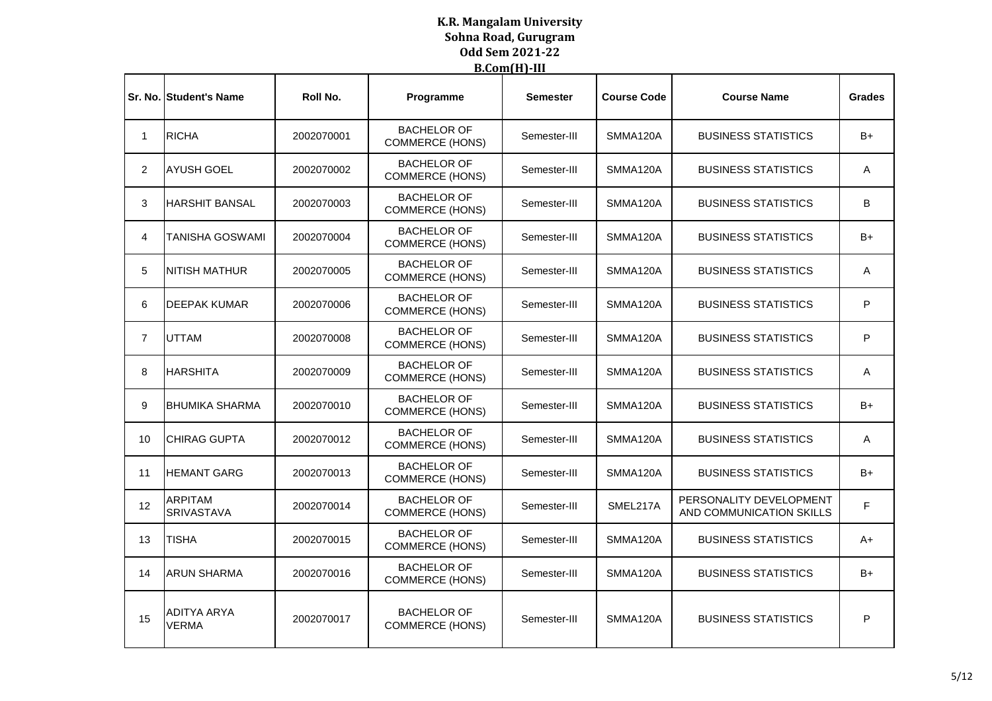|                | <b>Sr. No. Student's Name</b>       | Roll No.   | Programme                                    | <b>Semester</b> | <b>Course Code</b> | <b>Course Name</b>                                  | <b>Grades</b> |
|----------------|-------------------------------------|------------|----------------------------------------------|-----------------|--------------------|-----------------------------------------------------|---------------|
| $\mathbf 1$    | <b>RICHA</b>                        | 2002070001 | <b>BACHELOR OF</b><br><b>COMMERCE (HONS)</b> | Semester-III    | SMMA120A           | <b>BUSINESS STATISTICS</b>                          | B+            |
| $\overline{2}$ | <b>AYUSH GOEL</b>                   | 2002070002 | <b>BACHELOR OF</b><br><b>COMMERCE (HONS)</b> | Semester-III    | SMMA120A           | <b>BUSINESS STATISTICS</b>                          | Α             |
| 3              | <b>HARSHIT BANSAL</b>               | 2002070003 | <b>BACHELOR OF</b><br><b>COMMERCE (HONS)</b> | Semester-III    | SMMA120A           | <b>BUSINESS STATISTICS</b>                          | B             |
| 4              | <b>TANISHA GOSWAMI</b>              | 2002070004 | <b>BACHELOR OF</b><br><b>COMMERCE (HONS)</b> | Semester-III    | SMMA120A           | <b>BUSINESS STATISTICS</b>                          | B+            |
| 5              | <b>INITISH MATHUR</b>               | 2002070005 | <b>BACHELOR OF</b><br><b>COMMERCE (HONS)</b> | Semester-III    | SMMA120A           | <b>BUSINESS STATISTICS</b>                          | A             |
| 6              | <b>DEEPAK KUMAR</b>                 | 2002070006 | <b>BACHELOR OF</b><br><b>COMMERCE (HONS)</b> | Semester-III    | SMMA120A           | <b>BUSINESS STATISTICS</b>                          | P             |
| $\overline{7}$ | <b>UTTAM</b>                        | 2002070008 | <b>BACHELOR OF</b><br><b>COMMERCE (HONS)</b> | Semester-III    | SMMA120A           | <b>BUSINESS STATISTICS</b>                          | P             |
| 8              | <b>HARSHITA</b>                     | 2002070009 | <b>BACHELOR OF</b><br><b>COMMERCE (HONS)</b> | Semester-III    | SMMA120A           | <b>BUSINESS STATISTICS</b>                          | A             |
| 9              | <b>IBHUMIKA SHARMA</b>              | 2002070010 | <b>BACHELOR OF</b><br><b>COMMERCE (HONS)</b> | Semester-III    | SMMA120A           | <b>BUSINESS STATISTICS</b>                          | B+            |
| 10             | <b>I</b> CHIRAG GUPTA               | 2002070012 | <b>BACHELOR OF</b><br><b>COMMERCE (HONS)</b> | Semester-III    | SMMA120A           | <b>BUSINESS STATISTICS</b>                          | A             |
| 11             | <b>HEMANT GARG</b>                  | 2002070013 | <b>BACHELOR OF</b><br><b>COMMERCE (HONS)</b> | Semester-III    | SMMA120A           | <b>BUSINESS STATISTICS</b>                          | B+            |
| 12             | <b>ARPITAM</b><br><b>SRIVASTAVA</b> | 2002070014 | <b>BACHELOR OF</b><br><b>COMMERCE (HONS)</b> | Semester-III    | SMEL217A           | PERSONALITY DEVELOPMENT<br>AND COMMUNICATION SKILLS | F             |
| 13             | <b>TISHA</b>                        | 2002070015 | <b>BACHELOR OF</b><br><b>COMMERCE (HONS)</b> | Semester-III    | SMMA120A           | <b>BUSINESS STATISTICS</b>                          | A+            |
| 14             | <b>ARUN SHARMA</b>                  | 2002070016 | <b>BACHELOR OF</b><br><b>COMMERCE (HONS)</b> | Semester-III    | SMMA120A           | <b>BUSINESS STATISTICS</b>                          | B+            |
| 15             | <b>ADITYA ARYA</b><br><b>VERMA</b>  | 2002070017 | <b>BACHELOR OF</b><br><b>COMMERCE (HONS)</b> | Semester-III    | SMMA120A           | <b>BUSINESS STATISTICS</b>                          | P             |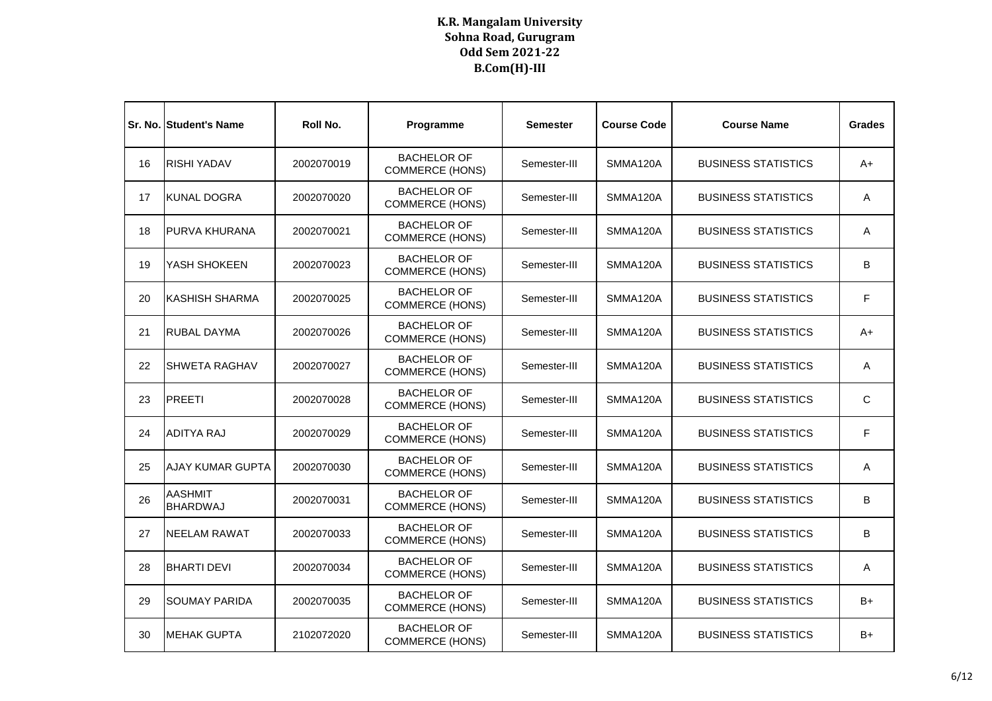|    | <b>Sr. No. Student's Name</b>     | Roll No.   | Programme                                    | <b>Semester</b> | <b>Course Code</b> | <b>Course Name</b>         | <b>Grades</b> |
|----|-----------------------------------|------------|----------------------------------------------|-----------------|--------------------|----------------------------|---------------|
| 16 | <b>RISHI YADAV</b>                | 2002070019 | <b>BACHELOR OF</b><br><b>COMMERCE (HONS)</b> | Semester-III    | SMMA120A           | <b>BUSINESS STATISTICS</b> | A+            |
| 17 | <b>KUNAL DOGRA</b>                | 2002070020 | <b>BACHELOR OF</b><br><b>COMMERCE (HONS)</b> | Semester-III    | SMMA120A           | <b>BUSINESS STATISTICS</b> | A             |
| 18 | IPURVA KHURANA                    | 2002070021 | <b>BACHELOR OF</b><br><b>COMMERCE (HONS)</b> | Semester-III    | SMMA120A           | <b>BUSINESS STATISTICS</b> | A             |
| 19 | YASH SHOKEEN                      | 2002070023 | <b>BACHELOR OF</b><br><b>COMMERCE (HONS)</b> | Semester-III    | SMMA120A           | <b>BUSINESS STATISTICS</b> | B             |
| 20 | IKASHISH SHARMA                   | 2002070025 | <b>BACHELOR OF</b><br><b>COMMERCE (HONS)</b> | Semester-III    | SMMA120A           | <b>BUSINESS STATISTICS</b> | F.            |
| 21 | <b>RUBAL DAYMA</b>                | 2002070026 | <b>BACHELOR OF</b><br><b>COMMERCE (HONS)</b> | Semester-III    | SMMA120A           | <b>BUSINESS STATISTICS</b> | A+            |
| 22 | <b>I</b> SHWETA RAGHAV            | 2002070027 | <b>BACHELOR OF</b><br><b>COMMERCE (HONS)</b> | Semester-III    | SMMA120A           | <b>BUSINESS STATISTICS</b> | Α             |
| 23 | <b>PREETI</b>                     | 2002070028 | <b>BACHELOR OF</b><br><b>COMMERCE (HONS)</b> | Semester-III    | SMMA120A           | <b>BUSINESS STATISTICS</b> | C             |
| 24 | ADITYA RAJ                        | 2002070029 | <b>BACHELOR OF</b><br><b>COMMERCE (HONS)</b> | Semester-III    | SMMA120A           | <b>BUSINESS STATISTICS</b> | F             |
| 25 | <b>AJAY KUMAR GUPTA</b>           | 2002070030 | <b>BACHELOR OF</b><br><b>COMMERCE (HONS)</b> | Semester-III    | SMMA120A           | <b>BUSINESS STATISTICS</b> | Α             |
| 26 | <b>AASHMIT</b><br><b>BHARDWAJ</b> | 2002070031 | <b>BACHELOR OF</b><br><b>COMMERCE (HONS)</b> | Semester-III    | SMMA120A           | <b>BUSINESS STATISTICS</b> | B             |
| 27 | <b>NEELAM RAWAT</b>               | 2002070033 | <b>BACHELOR OF</b><br><b>COMMERCE (HONS)</b> | Semester-III    | SMMA120A           | <b>BUSINESS STATISTICS</b> | B             |
| 28 | <b>BHARTI DEVI</b>                | 2002070034 | <b>BACHELOR OF</b><br><b>COMMERCE (HONS)</b> | Semester-III    | SMMA120A           | <b>BUSINESS STATISTICS</b> | Α             |
| 29 | <b>ISOUMAY PARIDA</b>             | 2002070035 | <b>BACHELOR OF</b><br><b>COMMERCE (HONS)</b> | Semester-III    | SMMA120A           | <b>BUSINESS STATISTICS</b> | B+            |
| 30 | <b>MEHAK GUPTA</b>                | 2102072020 | <b>BACHELOR OF</b><br><b>COMMERCE (HONS)</b> | Semester-III    | SMMA120A           | <b>BUSINESS STATISTICS</b> | B+            |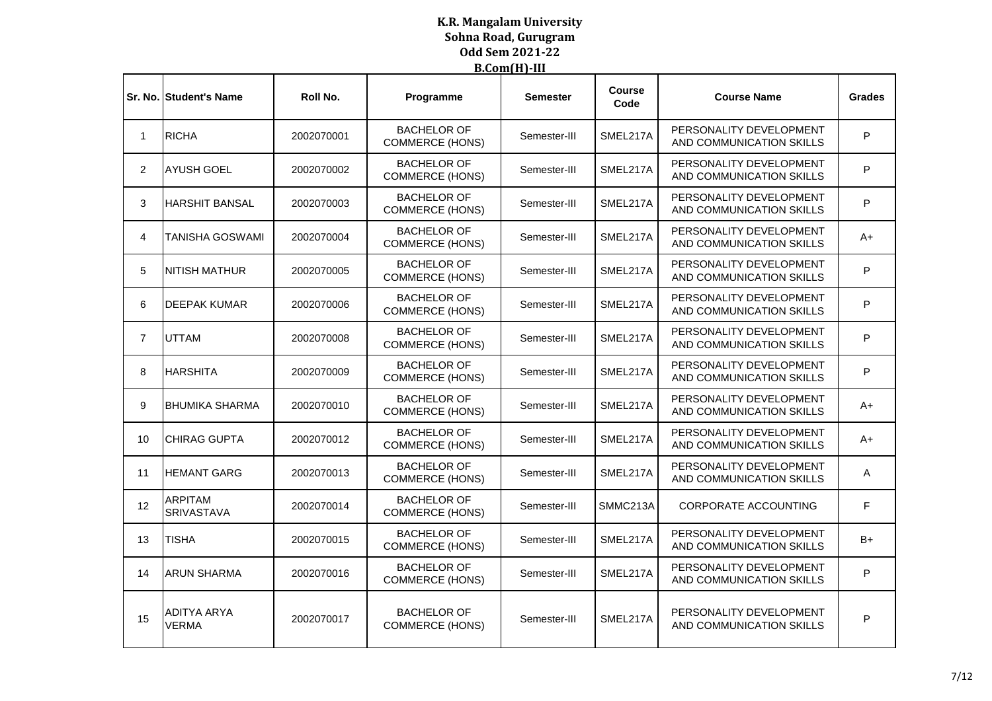|                | <b>Sr. No. Student's Name</b>       | Roll No.   | Programme                                    | <b>Semester</b> | <b>Course</b><br>Code | <b>Course Name</b>                                  | <b>Grades</b> |
|----------------|-------------------------------------|------------|----------------------------------------------|-----------------|-----------------------|-----------------------------------------------------|---------------|
| 1              | <b>RICHA</b>                        | 2002070001 | <b>BACHELOR OF</b><br><b>COMMERCE (HONS)</b> | Semester-III    | SMEL217A              | PERSONALITY DEVELOPMENT<br>AND COMMUNICATION SKILLS | P             |
| $\overline{2}$ | <b>AYUSH GOEL</b>                   | 2002070002 | <b>BACHELOR OF</b><br><b>COMMERCE (HONS)</b> | Semester-III    | SMEL217A              | PERSONALITY DEVELOPMENT<br>AND COMMUNICATION SKILLS | P             |
| 3              | <b>HARSHIT BANSAL</b>               | 2002070003 | <b>BACHELOR OF</b><br><b>COMMERCE (HONS)</b> | Semester-III    | SMEL217A              | PERSONALITY DEVELOPMENT<br>AND COMMUNICATION SKILLS | P             |
| 4              | <b>TANISHA GOSWAMI</b>              | 2002070004 | <b>BACHELOR OF</b><br><b>COMMERCE (HONS)</b> | Semester-III    | SMEL217A              | PERSONALITY DEVELOPMENT<br>AND COMMUNICATION SKILLS | A+            |
| 5              | <b>NITISH MATHUR</b>                | 2002070005 | <b>BACHELOR OF</b><br><b>COMMERCE (HONS)</b> | Semester-III    | SMEL217A              | PERSONALITY DEVELOPMENT<br>AND COMMUNICATION SKILLS | P             |
| 6              | <b>DEEPAK KUMAR</b>                 | 2002070006 | <b>BACHELOR OF</b><br><b>COMMERCE (HONS)</b> | Semester-III    | SMEL217A              | PERSONALITY DEVELOPMENT<br>AND COMMUNICATION SKILLS | P             |
| $\overline{7}$ | <b>UTTAM</b>                        | 2002070008 | <b>BACHELOR OF</b><br><b>COMMERCE (HONS)</b> | Semester-III    | SMEL217A              | PERSONALITY DEVELOPMENT<br>AND COMMUNICATION SKILLS | P             |
| 8              | <b>HARSHITA</b>                     | 2002070009 | <b>BACHELOR OF</b><br><b>COMMERCE (HONS)</b> | Semester-III    | SMEL217A              | PERSONALITY DEVELOPMENT<br>AND COMMUNICATION SKILLS | P             |
| 9              | BHUMIKA SHARMA                      | 2002070010 | <b>BACHELOR OF</b><br><b>COMMERCE (HONS)</b> | Semester-III    | SMEL217A              | PERSONALITY DEVELOPMENT<br>AND COMMUNICATION SKILLS | A+            |
| 10             | <b>CHIRAG GUPTA</b>                 | 2002070012 | <b>BACHELOR OF</b><br><b>COMMERCE (HONS)</b> | Semester-III    | SMEL217A              | PERSONALITY DEVELOPMENT<br>AND COMMUNICATION SKILLS | $A+$          |
| 11             | <b>HEMANT GARG</b>                  | 2002070013 | <b>BACHELOR OF</b><br><b>COMMERCE (HONS)</b> | Semester-III    | SMEL217A              | PERSONALITY DEVELOPMENT<br>AND COMMUNICATION SKILLS | A             |
| 12             | <b>ARPITAM</b><br><b>SRIVASTAVA</b> | 2002070014 | <b>BACHELOR OF</b><br><b>COMMERCE (HONS)</b> | Semester-III    | SMMC213A              | <b>CORPORATE ACCOUNTING</b>                         | F             |
| 13             | <b>TISHA</b>                        | 2002070015 | <b>BACHELOR OF</b><br><b>COMMERCE (HONS)</b> | Semester-III    | SMEL217A              | PERSONALITY DEVELOPMENT<br>AND COMMUNICATION SKILLS | B+            |
| 14             | <b>ARUN SHARMA</b>                  | 2002070016 | <b>BACHELOR OF</b><br><b>COMMERCE (HONS)</b> | Semester-III    | SMEL217A              | PERSONALITY DEVELOPMENT<br>AND COMMUNICATION SKILLS | P             |
| 15             | <b>ADITYA ARYA</b><br><b>VERMA</b>  | 2002070017 | <b>BACHELOR OF</b><br><b>COMMERCE (HONS)</b> | Semester-III    | SMEL217A              | PERSONALITY DEVELOPMENT<br>AND COMMUNICATION SKILLS | P             |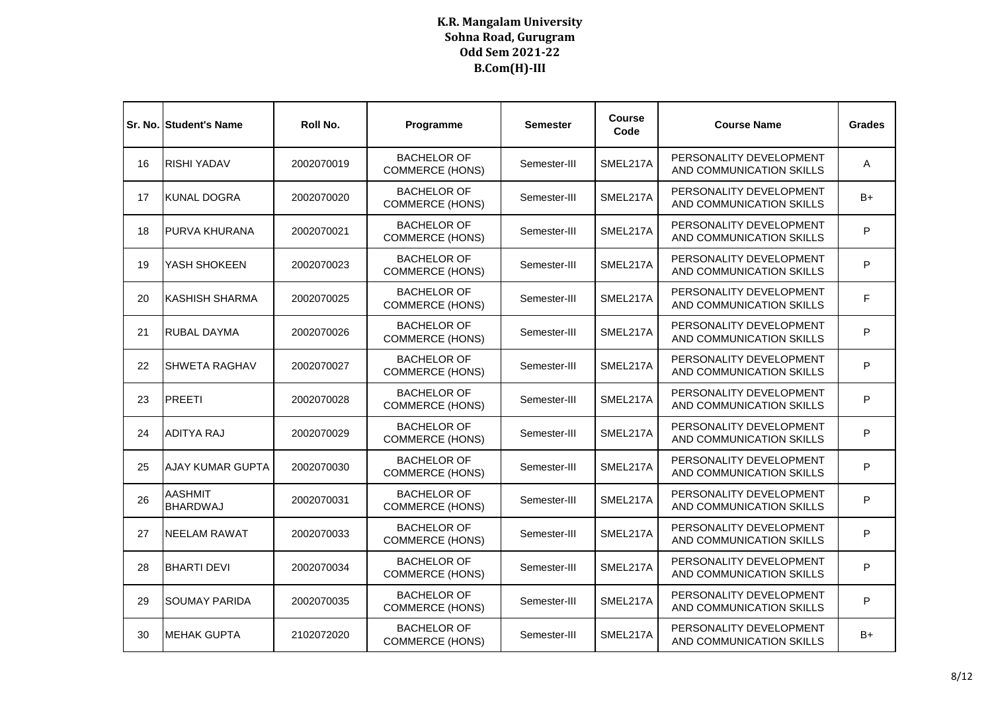|    | <b>Sr. No. Student's Name</b>     | Roll No.   | Programme                                    | <b>Semester</b> | <b>Course</b><br>Code | <b>Course Name</b>                                  | <b>Grades</b> |
|----|-----------------------------------|------------|----------------------------------------------|-----------------|-----------------------|-----------------------------------------------------|---------------|
| 16 | <b>RISHI YADAV</b>                | 2002070019 | <b>BACHELOR OF</b><br><b>COMMERCE (HONS)</b> | Semester-III    | SMEL217A              | PERSONALITY DEVELOPMENT<br>AND COMMUNICATION SKILLS | Α             |
| 17 | <b>KUNAL DOGRA</b>                | 2002070020 | <b>BACHELOR OF</b><br><b>COMMERCE (HONS)</b> | Semester-III    | SMEL217A              | PERSONALITY DEVELOPMENT<br>AND COMMUNICATION SKILLS | B+            |
| 18 | <b>PURVA KHURANA</b>              | 2002070021 | <b>BACHELOR OF</b><br><b>COMMERCE (HONS)</b> | Semester-III    | SMEL217A              | PERSONALITY DEVELOPMENT<br>AND COMMUNICATION SKILLS | P             |
| 19 | YASH SHOKEEN                      | 2002070023 | <b>BACHELOR OF</b><br><b>COMMERCE (HONS)</b> | Semester-III    | SMEL217A              | PERSONALITY DEVELOPMENT<br>AND COMMUNICATION SKILLS | P             |
| 20 | <b>KASHISH SHARMA</b>             | 2002070025 | <b>BACHELOR OF</b><br><b>COMMERCE (HONS)</b> | Semester-III    | SMEL217A              | PERSONALITY DEVELOPMENT<br>AND COMMUNICATION SKILLS | F             |
| 21 | <b>RUBAL DAYMA</b>                | 2002070026 | <b>BACHELOR OF</b><br><b>COMMERCE (HONS)</b> | Semester-III    | SMEL217A              | PERSONALITY DEVELOPMENT<br>AND COMMUNICATION SKILLS | P             |
| 22 | <b>SHWETA RAGHAV</b>              | 2002070027 | <b>BACHELOR OF</b><br><b>COMMERCE (HONS)</b> | Semester-III    | SMEL217A              | PERSONALITY DEVELOPMENT<br>AND COMMUNICATION SKILLS | P             |
| 23 | <b>PREETI</b>                     | 2002070028 | <b>BACHELOR OF</b><br><b>COMMERCE (HONS)</b> | Semester-III    | SMEL217A              | PERSONALITY DEVELOPMENT<br>AND COMMUNICATION SKILLS | P             |
| 24 | ADITYA RAJ                        | 2002070029 | <b>BACHELOR OF</b><br><b>COMMERCE (HONS)</b> | Semester-III    | SMEL217A              | PERSONALITY DEVELOPMENT<br>AND COMMUNICATION SKILLS | P             |
| 25 | <b>AJAY KUMAR GUPTA</b>           | 2002070030 | <b>BACHELOR OF</b><br><b>COMMERCE (HONS)</b> | Semester-III    | SMEL217A              | PERSONALITY DEVELOPMENT<br>AND COMMUNICATION SKILLS | P             |
| 26 | <b>AASHMIT</b><br><b>BHARDWAJ</b> | 2002070031 | <b>BACHELOR OF</b><br><b>COMMERCE (HONS)</b> | Semester-III    | SMEL217A              | PERSONALITY DEVELOPMENT<br>AND COMMUNICATION SKILLS | P             |
| 27 | <b>NEELAM RAWAT</b>               | 2002070033 | <b>BACHELOR OF</b><br><b>COMMERCE (HONS)</b> | Semester-III    | SMEL217A              | PERSONALITY DEVELOPMENT<br>AND COMMUNICATION SKILLS | P             |
| 28 | <b>BHARTI DEVI</b>                | 2002070034 | <b>BACHELOR OF</b><br><b>COMMERCE (HONS)</b> | Semester-III    | SMEL217A              | PERSONALITY DEVELOPMENT<br>AND COMMUNICATION SKILLS | P             |
| 29 | <b>SOUMAY PARIDA</b>              | 2002070035 | <b>BACHELOR OF</b><br><b>COMMERCE (HONS)</b> | Semester-III    | SMEL217A              | PERSONALITY DEVELOPMENT<br>AND COMMUNICATION SKILLS | P             |
| 30 | <b>MEHAK GUPTA</b>                | 2102072020 | <b>BACHELOR OF</b><br><b>COMMERCE (HONS)</b> | Semester-III    | SMEL217A              | PERSONALITY DEVELOPMENT<br>AND COMMUNICATION SKILLS | B+            |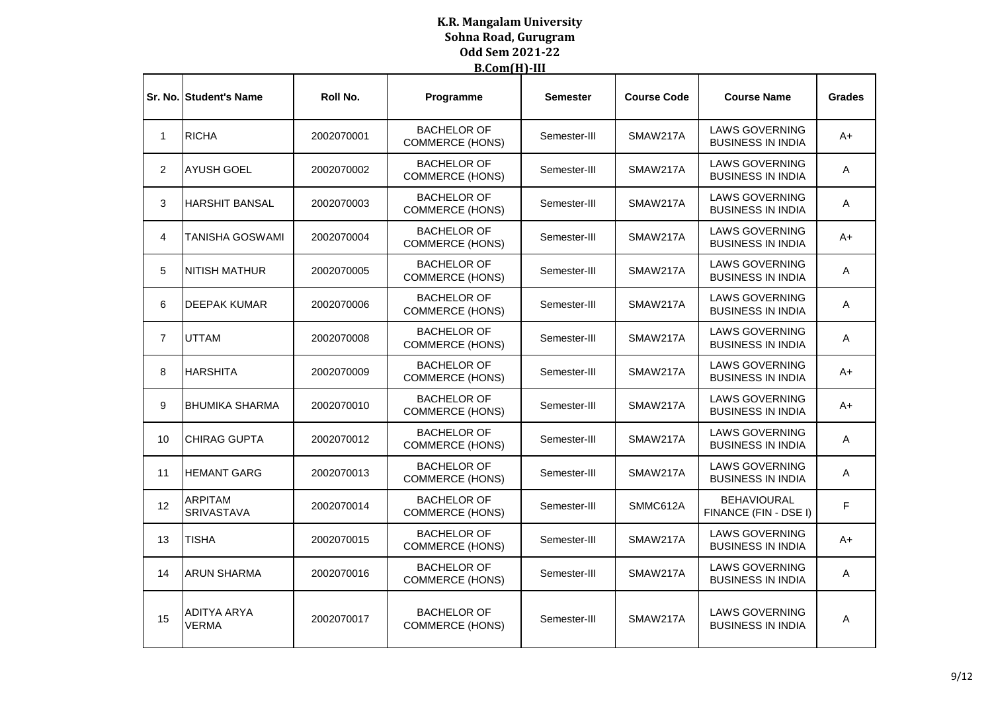|                | <b>Sr. No. Student's Name</b>       | Roll No.   | Programme                                    | Semester     | <b>Course Code</b> | <b>Course Name</b>                                | <b>Grades</b> |
|----------------|-------------------------------------|------------|----------------------------------------------|--------------|--------------------|---------------------------------------------------|---------------|
| $\mathbf 1$    | <b>RICHA</b>                        | 2002070001 | <b>BACHELOR OF</b><br><b>COMMERCE (HONS)</b> | Semester-III | SMAW217A           | <b>LAWS GOVERNING</b><br><b>BUSINESS IN INDIA</b> | A+            |
| 2              | <b>AYUSH GOEL</b>                   | 2002070002 | <b>BACHELOR OF</b><br><b>COMMERCE (HONS)</b> | Semester-III | SMAW217A           | <b>LAWS GOVERNING</b><br><b>BUSINESS IN INDIA</b> | A             |
| 3              | <b>HARSHIT BANSAL</b>               | 2002070003 | <b>BACHELOR OF</b><br><b>COMMERCE (HONS)</b> | Semester-III | SMAW217A           | <b>LAWS GOVERNING</b><br><b>BUSINESS IN INDIA</b> | A             |
| 4              | TANISHA GOSWAMI                     | 2002070004 | <b>BACHELOR OF</b><br><b>COMMERCE (HONS)</b> | Semester-III | SMAW217A           | <b>LAWS GOVERNING</b><br><b>BUSINESS IN INDIA</b> | $A+$          |
| 5              | <b>NITISH MATHUR</b>                | 2002070005 | <b>BACHELOR OF</b><br><b>COMMERCE (HONS)</b> | Semester-III | SMAW217A           | <b>LAWS GOVERNING</b><br><b>BUSINESS IN INDIA</b> | A             |
| 6              | <b>DEEPAK KUMAR</b>                 | 2002070006 | <b>BACHELOR OF</b><br><b>COMMERCE (HONS)</b> | Semester-III | SMAW217A           | <b>LAWS GOVERNING</b><br><b>BUSINESS IN INDIA</b> | Α             |
| $\overline{7}$ | <b>UTTAM</b>                        | 2002070008 | <b>BACHELOR OF</b><br><b>COMMERCE (HONS)</b> | Semester-III | SMAW217A           | <b>LAWS GOVERNING</b><br><b>BUSINESS IN INDIA</b> | Α             |
| 8              | <b>HARSHITA</b>                     | 2002070009 | <b>BACHELOR OF</b><br><b>COMMERCE (HONS)</b> | Semester-III | SMAW217A           | <b>LAWS GOVERNING</b><br><b>BUSINESS IN INDIA</b> | $A+$          |
| 9              | IBHUMIKA SHARMA                     | 2002070010 | <b>BACHELOR OF</b><br><b>COMMERCE (HONS)</b> | Semester-III | SMAW217A           | <b>LAWS GOVERNING</b><br><b>BUSINESS IN INDIA</b> | A+            |
| 10             | CHIRAG GUPTA                        | 2002070012 | <b>BACHELOR OF</b><br><b>COMMERCE (HONS)</b> | Semester-III | SMAW217A           | <b>LAWS GOVERNING</b><br><b>BUSINESS IN INDIA</b> | A             |
| 11             | <b>HEMANT GARG</b>                  | 2002070013 | <b>BACHELOR OF</b><br><b>COMMERCE (HONS)</b> | Semester-III | SMAW217A           | <b>LAWS GOVERNING</b><br><b>BUSINESS IN INDIA</b> | Α             |
| 12             | <b>ARPITAM</b><br><b>SRIVASTAVA</b> | 2002070014 | <b>BACHELOR OF</b><br><b>COMMERCE (HONS)</b> | Semester-III | SMMC612A           | <b>BEHAVIOURAL</b><br>FINANCE (FIN - DSE I)       | F             |
| 13             | <b>TISHA</b>                        | 2002070015 | <b>BACHELOR OF</b><br><b>COMMERCE (HONS)</b> | Semester-III | SMAW217A           | <b>LAWS GOVERNING</b><br><b>BUSINESS IN INDIA</b> | A+            |
| 14             | <b>ARUN SHARMA</b>                  | 2002070016 | <b>BACHELOR OF</b><br><b>COMMERCE (HONS)</b> | Semester-III | SMAW217A           | <b>LAWS GOVERNING</b><br><b>BUSINESS IN INDIA</b> | Α             |
| 15             | <b>ADITYA ARYA</b><br>VERMA         | 2002070017 | <b>BACHELOR OF</b><br><b>COMMERCE (HONS)</b> | Semester-III | SMAW217A           | <b>LAWS GOVERNING</b><br><b>BUSINESS IN INDIA</b> | Α             |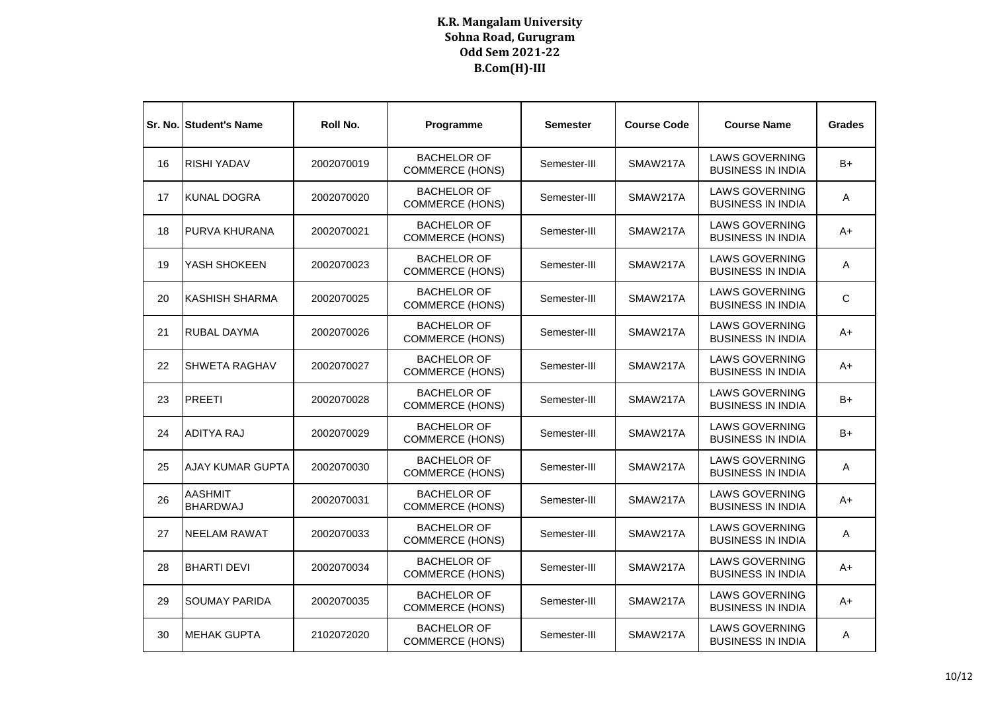|    | Sr. No. Student's Name            | Roll No.   | Programme                                    | Semester     | <b>Course Code</b> | <b>Course Name</b>                                | <b>Grades</b> |
|----|-----------------------------------|------------|----------------------------------------------|--------------|--------------------|---------------------------------------------------|---------------|
| 16 | <b>RISHI YADAV</b>                | 2002070019 | <b>BACHELOR OF</b><br><b>COMMERCE (HONS)</b> | Semester-III | SMAW217A           | <b>LAWS GOVERNING</b><br><b>BUSINESS IN INDIA</b> | B+            |
| 17 | KUNAL DOGRA                       | 2002070020 | <b>BACHELOR OF</b><br><b>COMMERCE (HONS)</b> | Semester-III | SMAW217A           | <b>LAWS GOVERNING</b><br><b>BUSINESS IN INDIA</b> | Α             |
| 18 | PURVA KHURANA                     | 2002070021 | <b>BACHELOR OF</b><br><b>COMMERCE (HONS)</b> | Semester-III | SMAW217A           | <b>LAWS GOVERNING</b><br><b>BUSINESS IN INDIA</b> | A+            |
| 19 | YASH SHOKEEN                      | 2002070023 | <b>BACHELOR OF</b><br><b>COMMERCE (HONS)</b> | Semester-III | SMAW217A           | <b>LAWS GOVERNING</b><br><b>BUSINESS IN INDIA</b> | Α             |
| 20 | KASHISH SHARMA                    | 2002070025 | <b>BACHELOR OF</b><br><b>COMMERCE (HONS)</b> | Semester-III | SMAW217A           | <b>LAWS GOVERNING</b><br><b>BUSINESS IN INDIA</b> | C             |
| 21 | RUBAL DAYMA                       | 2002070026 | <b>BACHELOR OF</b><br><b>COMMERCE (HONS)</b> | Semester-III | SMAW217A           | <b>LAWS GOVERNING</b><br><b>BUSINESS IN INDIA</b> | $A+$          |
| 22 | <b>ISHWETA RAGHAV</b>             | 2002070027 | <b>BACHELOR OF</b><br><b>COMMERCE (HONS)</b> | Semester-III | SMAW217A           | <b>LAWS GOVERNING</b><br><b>BUSINESS IN INDIA</b> | A+            |
| 23 | <b>PREETI</b>                     | 2002070028 | <b>BACHELOR OF</b><br><b>COMMERCE (HONS)</b> | Semester-III | SMAW217A           | <b>LAWS GOVERNING</b><br><b>BUSINESS IN INDIA</b> | B+            |
| 24 | <b>ADITYA RAJ</b>                 | 2002070029 | <b>BACHELOR OF</b><br><b>COMMERCE (HONS)</b> | Semester-III | SMAW217A           | <b>LAWS GOVERNING</b><br><b>BUSINESS IN INDIA</b> | B+            |
| 25 | <b>AJAY KUMAR GUPTA</b>           | 2002070030 | <b>BACHELOR OF</b><br><b>COMMERCE (HONS)</b> | Semester-III | SMAW217A           | <b>LAWS GOVERNING</b><br><b>BUSINESS IN INDIA</b> | A             |
| 26 | <b>AASHMIT</b><br><b>BHARDWAJ</b> | 2002070031 | <b>BACHELOR OF</b><br><b>COMMERCE (HONS)</b> | Semester-III | SMAW217A           | <b>LAWS GOVERNING</b><br><b>BUSINESS IN INDIA</b> | A+            |
| 27 | <b>NEELAM RAWAT</b>               | 2002070033 | <b>BACHELOR OF</b><br><b>COMMERCE (HONS)</b> | Semester-III | SMAW217A           | <b>LAWS GOVERNING</b><br><b>BUSINESS IN INDIA</b> | A             |
| 28 | <b>BHARTI DEVI</b>                | 2002070034 | <b>BACHELOR OF</b><br><b>COMMERCE (HONS)</b> | Semester-III | SMAW217A           | <b>LAWS GOVERNING</b><br><b>BUSINESS IN INDIA</b> | A+            |
| 29 | <b>SOUMAY PARIDA</b>              | 2002070035 | <b>BACHELOR OF</b><br><b>COMMERCE (HONS)</b> | Semester-III | SMAW217A           | <b>LAWS GOVERNING</b><br><b>BUSINESS IN INDIA</b> | A+            |
| 30 | <b>MEHAK GUPTA</b>                | 2102072020 | <b>BACHELOR OF</b><br><b>COMMERCE (HONS)</b> | Semester-III | SMAW217A           | <b>LAWS GOVERNING</b><br><b>BUSINESS IN INDIA</b> | A             |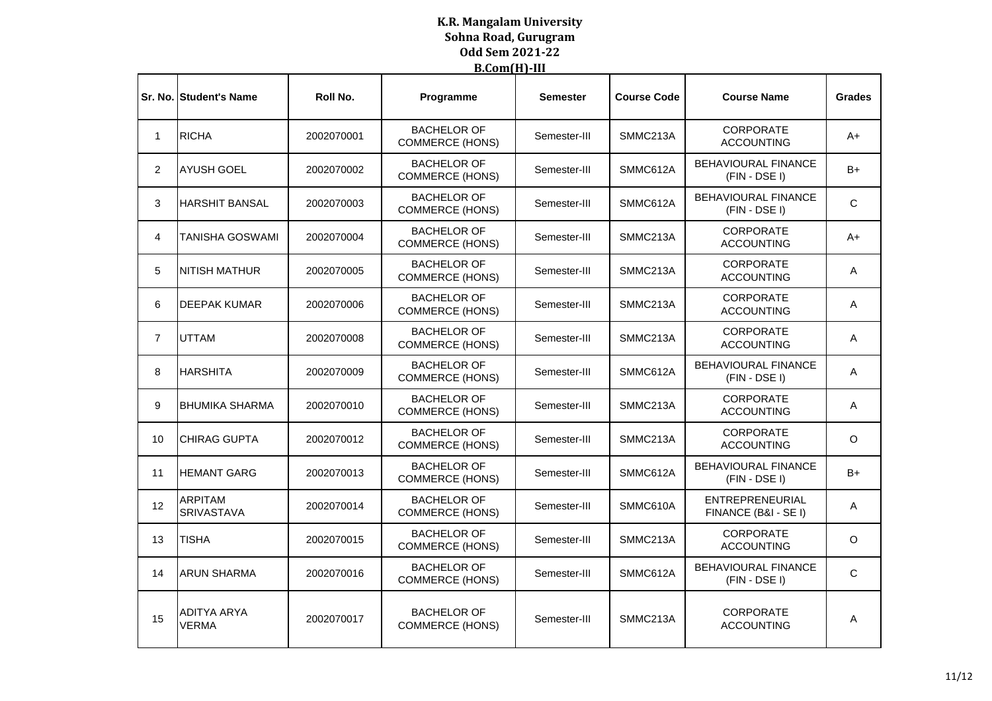|                 | <b>Sr. No. Student's Name</b>       | Roll No.   | Programme                                    | <b>Semester</b> | <b>Course Code</b> | <b>Course Name</b>                            | <b>Grades</b> |
|-----------------|-------------------------------------|------------|----------------------------------------------|-----------------|--------------------|-----------------------------------------------|---------------|
| 1               | <b>RICHA</b>                        | 2002070001 | <b>BACHELOR OF</b><br><b>COMMERCE (HONS)</b> | Semester-III    | SMMC213A           | <b>CORPORATE</b><br><b>ACCOUNTING</b>         | A+            |
| $\overline{2}$  | <b>AYUSH GOEL</b>                   | 2002070002 | <b>BACHELOR OF</b><br><b>COMMERCE (HONS)</b> | Semester-III    | SMMC612A           | <b>BEHAVIOURAL FINANCE</b><br>$(FIN - DSE I)$ | B+            |
| 3               | <b>HARSHIT BANSAL</b>               | 2002070003 | <b>BACHELOR OF</b><br><b>COMMERCE (HONS)</b> | Semester-III    | SMMC612A           | <b>BEHAVIOURAL FINANCE</b><br>$(FIN - DSE I)$ | C             |
| 4               | TANISHA GOSWAMI                     | 2002070004 | <b>BACHELOR OF</b><br><b>COMMERCE (HONS)</b> | Semester-III    | SMMC213A           | <b>CORPORATE</b><br><b>ACCOUNTING</b>         | A+            |
| 5               | <b>NITISH MATHUR</b>                | 2002070005 | <b>BACHELOR OF</b><br><b>COMMERCE (HONS)</b> | Semester-III    | SMMC213A           | <b>CORPORATE</b><br><b>ACCOUNTING</b>         | A             |
| 6               | <b>DEEPAK KUMAR</b>                 | 2002070006 | <b>BACHELOR OF</b><br><b>COMMERCE (HONS)</b> | Semester-III    | SMMC213A           | <b>CORPORATE</b><br><b>ACCOUNTING</b>         | A             |
| $\overline{7}$  | <b>UTTAM</b>                        | 2002070008 | <b>BACHELOR OF</b><br><b>COMMERCE (HONS)</b> | Semester-III    | SMMC213A           | CORPORATE<br><b>ACCOUNTING</b>                | A             |
| 8               | <b>HARSHITA</b>                     | 2002070009 | <b>BACHELOR OF</b><br><b>COMMERCE (HONS)</b> | Semester-III    | SMMC612A           | <b>BEHAVIOURAL FINANCE</b><br>$(FIN - DSE I)$ | A             |
| 9               | <b>BHUMIKA SHARMA</b>               | 2002070010 | <b>BACHELOR OF</b><br><b>COMMERCE (HONS)</b> | Semester-III    | SMMC213A           | <b>CORPORATE</b><br><b>ACCOUNTING</b>         | A             |
| 10              | <b>CHIRAG GUPTA</b>                 | 2002070012 | <b>BACHELOR OF</b><br><b>COMMERCE (HONS)</b> | Semester-III    | SMMC213A           | <b>CORPORATE</b><br><b>ACCOUNTING</b>         | $\circ$       |
| 11              | <b>HEMANT GARG</b>                  | 2002070013 | <b>BACHELOR OF</b><br><b>COMMERCE (HONS)</b> | Semester-III    | SMMC612A           | <b>BEHAVIOURAL FINANCE</b><br>$(FIN - DSE I)$ | B+            |
| 12 <sup>2</sup> | <b>ARPITAM</b><br><b>SRIVASTAVA</b> | 2002070014 | <b>BACHELOR OF</b><br>COMMERCE (HONS)        | Semester-III    | SMMC610A           | ENTREPRENEURIAL<br>FINANCE (B&I - SE I)       | Α             |
| 13              | <b>TISHA</b>                        | 2002070015 | <b>BACHELOR OF</b><br><b>COMMERCE (HONS)</b> | Semester-III    | SMMC213A           | <b>CORPORATE</b><br><b>ACCOUNTING</b>         | O             |
| 14              | <b>ARUN SHARMA</b>                  | 2002070016 | <b>BACHELOR OF</b><br><b>COMMERCE (HONS)</b> | Semester-III    | SMMC612A           | <b>BEHAVIOURAL FINANCE</b><br>$(FIN - DSE I)$ | C             |
| 15              | <b>ADITYA ARYA</b><br>VERMA         | 2002070017 | <b>BACHELOR OF</b><br><b>COMMERCE (HONS)</b> | Semester-III    | SMMC213A           | CORPORATE<br><b>ACCOUNTING</b>                | A             |